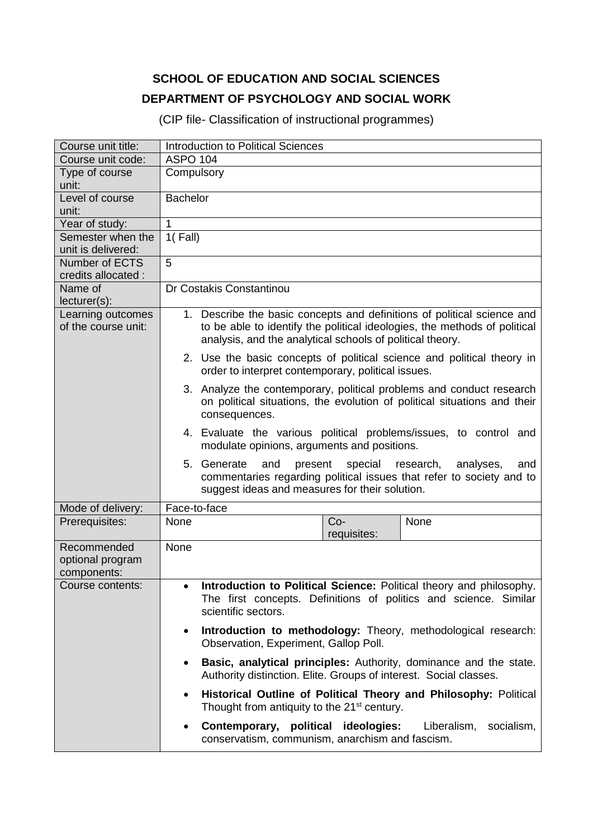## **SCHOOL OF EDUCATION AND SOCIAL SCIENCES DEPARTMENT OF PSYCHOLOGY AND SOCIAL WORK**

(CIP file- Classification of instructional programmes)

| Course unit title:                             | Introduction to Political Sciences                                                                                                                                                                                |
|------------------------------------------------|-------------------------------------------------------------------------------------------------------------------------------------------------------------------------------------------------------------------|
| Course unit code:                              | <b>ASPO 104</b>                                                                                                                                                                                                   |
| Type of course<br>unit:                        | Compulsory                                                                                                                                                                                                        |
| Level of course<br>unit:                       | <b>Bachelor</b>                                                                                                                                                                                                   |
| Year of study:                                 | 1                                                                                                                                                                                                                 |
| Semester when the                              | $1($ Fall)                                                                                                                                                                                                        |
| unit is delivered:                             |                                                                                                                                                                                                                   |
| Number of ECTS                                 | 5                                                                                                                                                                                                                 |
| credits allocated :<br>Name of                 | Dr Costakis Constantinou                                                                                                                                                                                          |
| $lecturer(s)$ :                                |                                                                                                                                                                                                                   |
| Learning outcomes<br>of the course unit:       | 1. Describe the basic concepts and definitions of political science and<br>to be able to identify the political ideologies, the methods of political<br>analysis, and the analytical schools of political theory. |
|                                                | 2. Use the basic concepts of political science and political theory in<br>order to interpret contemporary, political issues.                                                                                      |
|                                                | 3. Analyze the contemporary, political problems and conduct research<br>on political situations, the evolution of political situations and their<br>consequences.                                                 |
|                                                | 4. Evaluate the various political problems/issues, to control and<br>modulate opinions, arguments and positions.                                                                                                  |
|                                                | 5. Generate<br>and<br>present<br>special<br>research,<br>analyses,<br>and<br>commentaries regarding political issues that refer to society and to<br>suggest ideas and measures for their solution.               |
| Mode of delivery:                              | Face-to-face                                                                                                                                                                                                      |
| Prerequisites:                                 | None<br>$Co-$<br>None<br>requisites:                                                                                                                                                                              |
| Recommended<br>optional program<br>components: | None                                                                                                                                                                                                              |
| Course contents:                               | Introduction to Political Science: Political theory and philosophy.<br>The first concepts. Definitions of politics and science. Similar<br>scientific sectors.                                                    |
|                                                | Introduction to methodology: Theory, methodological research:<br>$\bullet$<br>Observation, Experiment, Gallop Poll.                                                                                               |
|                                                | Basic, analytical principles: Authority, dominance and the state.<br>$\bullet$<br>Authority distinction. Elite. Groups of interest. Social classes.                                                               |
|                                                | Historical Outline of Political Theory and Philosophy: Political<br>$\bullet$<br>Thought from antiquity to the 21 <sup>st</sup> century.                                                                          |
|                                                | Contemporary, political ideologies:<br>Liberalism,<br>socialism,<br>٠<br>conservatism, communism, anarchism and fascism.                                                                                          |